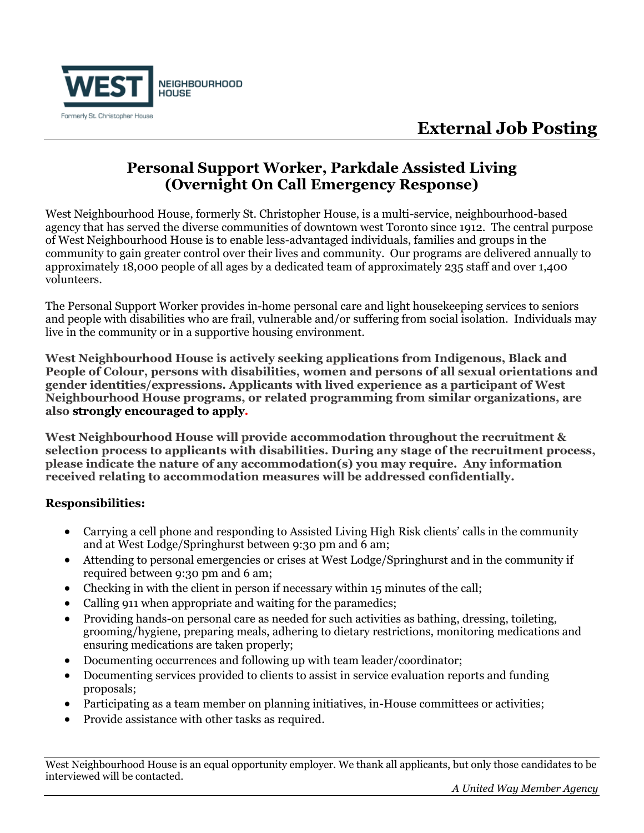

## **Personal Support Worker, Parkdale Assisted Living (Overnight On Call Emergency Response)**

West Neighbourhood House, formerly St. Christopher House, is a multi-service, neighbourhood-based agency that has served the diverse communities of downtown west Toronto since 1912. The central purpose of West Neighbourhood House is to enable less-advantaged individuals, families and groups in the community to gain greater control over their lives and community. Our programs are delivered annually to approximately 18,000 people of all ages by a dedicated team of approximately 235 staff and over 1,400 volunteers.

The Personal Support Worker provides in-home personal care and light housekeeping services to seniors and people with disabilities who are frail, vulnerable and/or suffering from social isolation. Individuals may live in the community or in a supportive housing environment.

**West Neighbourhood House is actively seeking applications from Indigenous, Black and People of Colour, persons with disabilities, women and persons of all sexual orientations and gender identities/expressions. Applicants with lived experience as a participant of West Neighbourhood House programs, or related programming from similar organizations, are also strongly encouraged to apply.** 

**West Neighbourhood House will provide accommodation throughout the recruitment & selection process to applicants with disabilities. During any stage of the recruitment process, please indicate the nature of any accommodation(s) you may require. Any information received relating to accommodation measures will be addressed confidentially.**

## **Responsibilities:**

- Carrying a cell phone and responding to Assisted Living High Risk clients' calls in the community and at West Lodge/Springhurst between 9:30 pm and 6 am;
- Attending to personal emergencies or crises at West Lodge/Springhurst and in the community if required between 9:30 pm and 6 am;
- Checking in with the client in person if necessary within 15 minutes of the call;
- Calling 911 when appropriate and waiting for the paramedics;
- Providing hands-on personal care as needed for such activities as bathing, dressing, toileting, grooming/hygiene, preparing meals, adhering to dietary restrictions, monitoring medications and ensuring medications are taken properly;
- Documenting occurrences and following up with team leader/coordinator;
- Documenting services provided to clients to assist in service evaluation reports and funding proposals;
- Participating as a team member on planning initiatives, in-House committees or activities;
- Provide assistance with other tasks as required.

West Neighbourhood House is an equal opportunity employer. We thank all applicants, but only those candidates to be interviewed will be contacted.